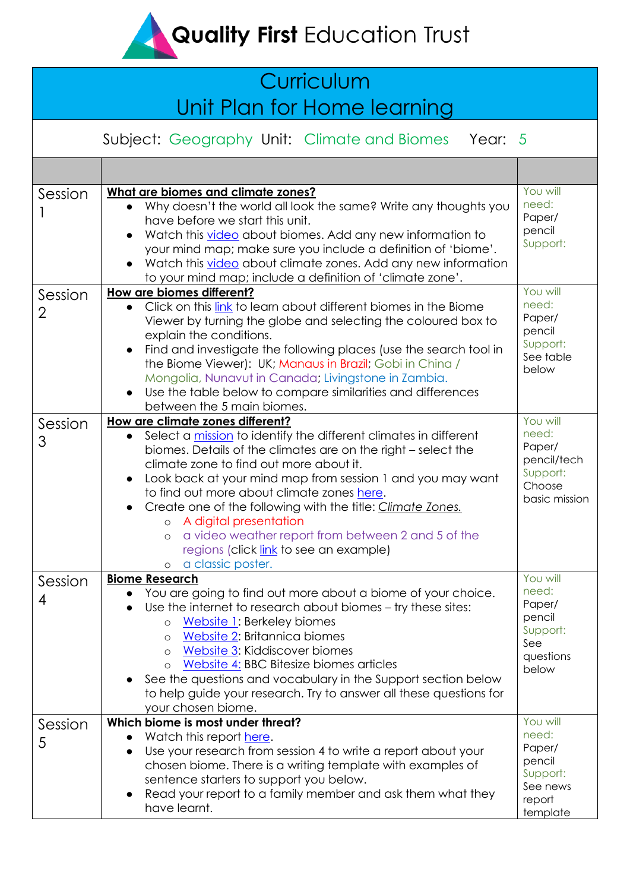**Quality First Education Trust** 

# **Curriculum** Unit Plan for Home learning

Subject: Geography Unit: Climate and Biomes Year: 5

| Session      | What are biomes and climate zones?<br>Why doesn't the world all look the same? Write any thoughts you<br>have before we start this unit.<br>Watch this video about biomes. Add any new information to<br>your mind map; make sure you include a definition of 'biome'.<br>Watch this video about climate zones. Add any new information<br>to your mind map; include a definition of 'climate zone'.                                                                                                                                                                                    | You will<br>need:<br>Paper/<br>pencil<br>Support:                                   |
|--------------|-----------------------------------------------------------------------------------------------------------------------------------------------------------------------------------------------------------------------------------------------------------------------------------------------------------------------------------------------------------------------------------------------------------------------------------------------------------------------------------------------------------------------------------------------------------------------------------------|-------------------------------------------------------------------------------------|
| Session<br>2 | How are biomes different?<br>Click on this link to learn about different biomes in the Biome<br>Viewer by turning the globe and selecting the coloured box to<br>explain the conditions.<br>Find and investigate the following places (use the search tool in<br>the Biome Viewer): UK; Manaus in Brazil; Gobi in China /<br>Mongolia, Nunavut in Canada; Livingstone in Zambia.<br>Use the table below to compare similarities and differences<br>$\bullet$<br>between the 5 main biomes.                                                                                              | You will<br>need:<br>Paper/<br>pencil<br>Support:<br>See table<br>below             |
| Session<br>3 | How are climate zones different?<br>Select a mission to identify the different climates in different<br>biomes. Details of the climates are on the right - select the<br>climate zone to find out more about it.<br>Look back at your mind map from session 1 and you may want<br>$\bullet$<br>to find out more about climate zones here.<br>Create one of the following with the title: Climate Zones.<br>A digital presentation<br>$\circ$<br>a video weather report from between 2 and 5 of the<br>$\circ$<br>regions (click link to see an example)<br>a classic poster.<br>$\circ$ | You will<br>need:<br>Paper/<br>pencil/tech<br>Support:<br>Choose<br>basic mission   |
| Session<br>4 | <b>Biome Research</b><br>You are going to find out more about a biome of your choice.<br>Use the internet to research about biomes – try these sites:<br>Website 1: Berkeley biomes<br>$\circ$<br>Website 2: Britannica biomes<br>$\circ$<br>Website 3: Kiddiscover biomes<br>$\circ$<br>Website 4: BBC Bitesize biomes articles<br>$\circ$<br>See the questions and vocabulary in the Support section below<br>to help guide your research. Try to answer all these questions for<br>your chosen biome.                                                                                | You will<br>need:<br>Paper/<br>pencil<br>Support:<br>See<br>questions<br>below      |
| Session<br>5 | Which biome is most under threat?<br>Watch this report here.<br>Use your research from session 4 to write a report about your<br>chosen biome. There is a writing template with examples of<br>sentence starters to support you below.<br>Read your report to a family member and ask them what they<br>have learnt.                                                                                                                                                                                                                                                                    | You will<br>need:<br>Paper/<br>pencil<br>Support:<br>See news<br>report<br>template |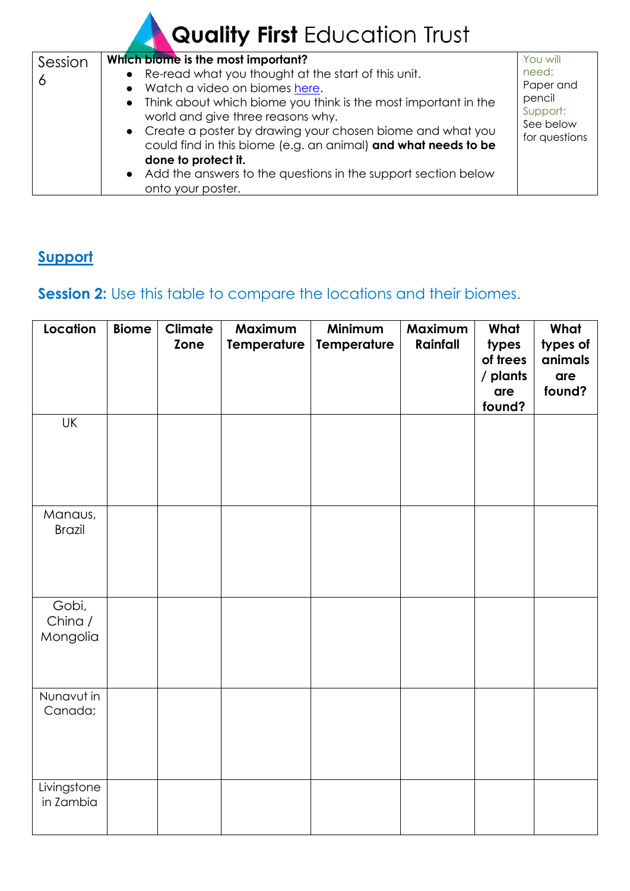# Quality First Education Trust

| Session | Which biome is the most important?                               | You will              |
|---------|------------------------------------------------------------------|-----------------------|
|         | • Re-read what you thought at the start of this unit.            | need:                 |
| O       | • Watch a video on biomes here.                                  | Paper and             |
|         | • Think about which biome you think is the most important in the | pencil                |
|         | world and give three reasons why.                                | Support:<br>See below |
|         | • Create a poster by drawing your chosen biome and what you      | for questions         |
|         | could find in this biome (e.g. an animal) and what needs to be   |                       |
|         | done to protect it.                                              |                       |
|         | • Add the answers to the questions in the support section below  |                       |
|         | onto your poster.                                                |                       |

### **Support**

## **Session 2:** Use this table to compare the locations and their biomes.

| Location                     | <b>Biome</b> | Climate<br>Zone | Maximum<br><b>Temperature</b> | Minimum<br><b>Temperature</b> | Maximum<br>Rainfall | What<br>types<br>of trees<br>/ plants<br>are<br>found? | What<br>types of<br>animals<br>are<br>found? |
|------------------------------|--------------|-----------------|-------------------------------|-------------------------------|---------------------|--------------------------------------------------------|----------------------------------------------|
| <b>UK</b>                    |              |                 |                               |                               |                     |                                                        |                                              |
| Manaus,<br><b>Brazil</b>     |              |                 |                               |                               |                     |                                                        |                                              |
| Gobi,<br>China /<br>Mongolia |              |                 |                               |                               |                     |                                                        |                                              |
| Nunavut in<br>Canada;        |              |                 |                               |                               |                     |                                                        |                                              |
| Livingstone<br>in Zambia     |              |                 |                               |                               |                     |                                                        |                                              |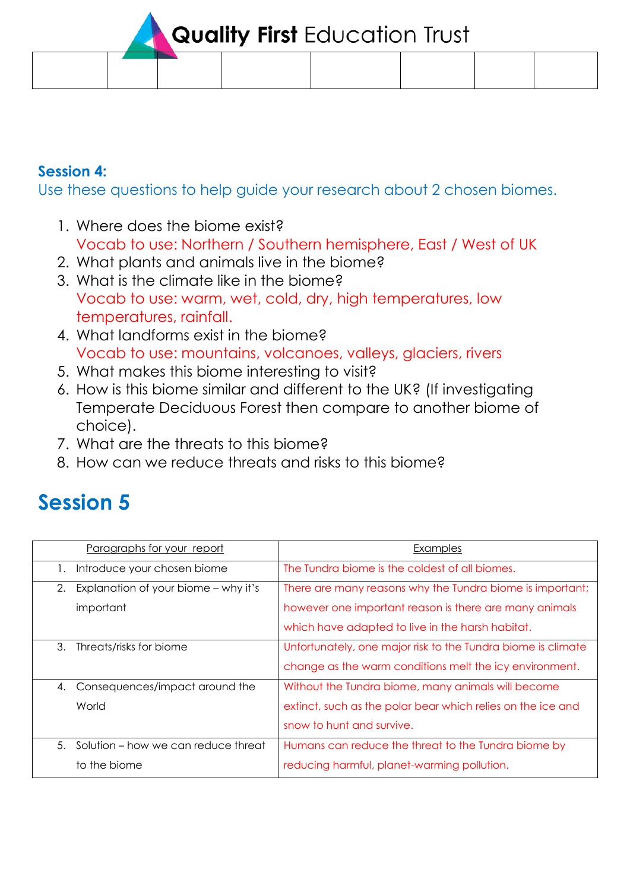**Quality First Education Trust** 

#### **Session 4:**

Use these questions to help guide your research about 2 chosen biomes.

- 1. Where does the biome exist? Vocab to use: Northern / Southern hemisphere, East / West of UK
- 2. What plants and animals live in the biome?
- 3. What is the climate like in the biome? Vocab to use: warm, wet, cold, dry, high temperatures, low temperatures, rainfall.
- 4. What landforms exist in the biome? Vocab to use: mountains, volcanoes, valleys, glaciers, rivers
- 5. What makes this biome interesting to visit?
- 6. How is this biome similar and different to the UK? (If investigating Temperate Deciduous Forest then compare to another biome of choice).
- 7. What are the threats to this biome?
- 8. How can we reduce threats and risks to this biome?

# **Session 5**

| Paragraphs for your report                  | Examples                                                     |
|---------------------------------------------|--------------------------------------------------------------|
| Introduce your chosen biome<br>$\mathbf{L}$ | The Tundra biome is the coldest of all biomes.               |
| Explanation of your biome – why it's<br>2.  | There are many reasons why the Tundra biome is important;    |
| important                                   | however one important reason is there are many animals       |
|                                             | which have adapted to live in the harsh habitat.             |
| 3.<br>Threats/risks for biome               | Unfortunately, one major risk to the Tundra biome is climate |
|                                             | change as the warm conditions melt the icy environment.      |
| 4. Consequences/impact around the           | Without the Tundra biome, many animals will become           |
| World                                       | extinct, such as the polar bear which relies on the ice and  |
|                                             | snow to hunt and survive.                                    |
| Solution – how we can reduce threat<br>5.   | Humans can reduce the threat to the Tundra biome by          |
| to the biome                                | reducing harmful, planet-warming pollution.                  |